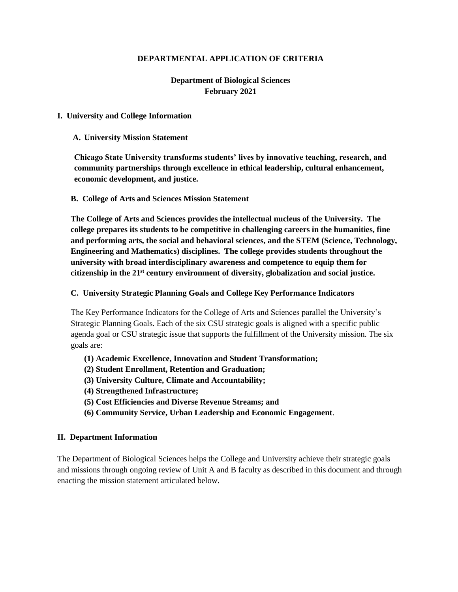#### **DEPARTMENTAL APPLICATION OF CRITERIA**

# **Department of Biological Sciences February 2021**

#### **I. University and College Information**

#### **A. University Mission Statement**

**Chicago State University transforms students' lives by innovative teaching, research, and community partnerships through excellence in ethical leadership, cultural enhancement, economic development, and justice.**

#### **B. College of Arts and Sciences Mission Statement**

**The College of Arts and Sciences provides the intellectual nucleus of the University. The college prepares its students to be competitive in challenging careers in the humanities, fine and performing arts, the social and behavioral sciences, and the STEM (Science, Technology, Engineering and Mathematics) disciplines. The college provides students throughout the university with broad interdisciplinary awareness and competence to equip them for citizenship in the 21st century environment of diversity, globalization and social justice.**

#### **C. University Strategic Planning Goals and College Key Performance Indicators**

The Key Performance Indicators for the College of Arts and Sciences parallel the University's Strategic Planning Goals. Each of the six CSU strategic goals is aligned with a specific public agenda goal or CSU strategic issue that supports the fulfillment of the University mission. The six goals are:

- **(1) Academic Excellence, Innovation and Student Transformation;**
- **(2) Student Enrollment, Retention and Graduation;**
- **(3) University Culture, Climate and Accountability;**
- **(4) Strengthened Infrastructure;**
- **(5) Cost Efficiencies and Diverse Revenue Streams; and**
- **(6) Community Service, Urban Leadership and Economic Engagement**.

#### **II. Department Information**

The Department of Biological Sciences helps the College and University achieve their strategic goals and missions through ongoing review of Unit A and B faculty as described in this document and through enacting the mission statement articulated below.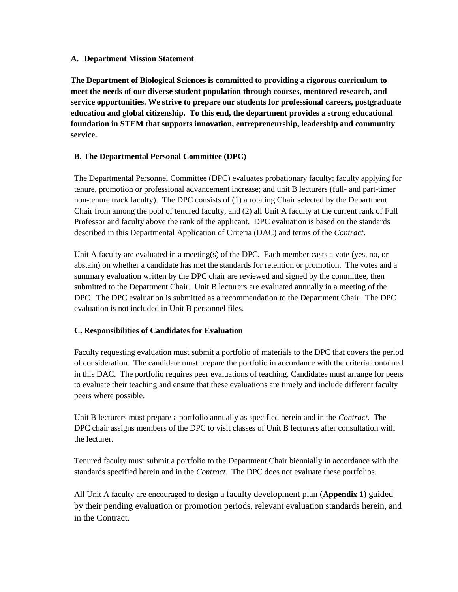#### **A. Department Mission Statement**

**The Department of Biological Sciences is committed to providing a rigorous curriculum to meet the needs of our diverse student population through courses, mentored research, and service opportunities. We strive to prepare our students for professional careers, postgraduate education and global citizenship. To this end, the department provides a strong educational foundation in STEM that supports innovation, entrepreneurship, leadership and community service.**

# **B. The Departmental Personal Committee (DPC)**

The Departmental Personnel Committee (DPC) evaluates probationary faculty; faculty applying for tenure, promotion or professional advancement increase; and unit B lecturers (full- and part-timer non-tenure track faculty). The DPC consists of (1) a rotating Chair selected by the Department Chair from among the pool of tenured faculty, and (2) all Unit A faculty at the current rank of Full Professor and faculty above the rank of the applicant. DPC evaluation is based on the standards described in this Departmental Application of Criteria (DAC) and terms of the *Contract*.

Unit A faculty are evaluated in a meeting(s) of the DPC. Each member casts a vote (yes, no, or abstain) on whether a candidate has met the standards for retention or promotion. The votes and a summary evaluation written by the DPC chair are reviewed and signed by the committee, then submitted to the Department Chair. Unit B lecturers are evaluated annually in a meeting of the DPC. The DPC evaluation is submitted as a recommendation to the Department Chair. The DPC evaluation is not included in Unit B personnel files.

### **C. Responsibilities of Candidates for Evaluation**

Faculty requesting evaluation must submit a portfolio of materials to the DPC that covers the period of consideration. The candidate must prepare the portfolio in accordance with the criteria contained in this DAC. The portfolio requires peer evaluations of teaching. Candidates must arrange for peers to evaluate their teaching and ensure that these evaluations are timely and include different faculty peers where possible.

Unit B lecturers must prepare a portfolio annually as specified herein and in the *Contract*. The DPC chair assigns members of the DPC to visit classes of Unit B lecturers after consultation with the lecturer.

Tenured faculty must submit a portfolio to the Department Chair biennially in accordance with the standards specified herein and in the *Contract*. The DPC does not evaluate these portfolios.

All Unit A faculty are encouraged to design a faculty development plan (**Appendix 1**) guided by their pending evaluation or promotion periods, relevant evaluation standards herein, and in the Contract.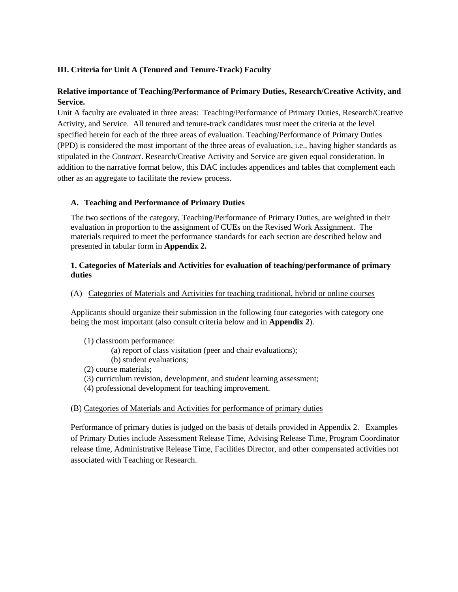### **III. Criteria for Unit A (Tenured and Tenure-Track) Faculty**

# **Relative importance of Teaching/Performance of Primary Duties, Research/Creative Activity, and Service.**

Unit A faculty are evaluated in three areas: Teaching/Performance of Primary Duties, Research/Creative Activity, and Service. All tenured and tenure-track candidates must meet the criteria at the level specified herein for each of the three areas of evaluation. Teaching/Performance of Primary Duties (PPD) is considered the most important of the three areas of evaluation, i.e., having higher standards as stipulated in the *Contract*. Research/Creative Activity and Service are given equal consideration. In addition to the narrative format below, this DAC includes appendices and tables that complement each other as an aggregate to facilitate the review process.

### **A. Teaching and Performance of Primary Duties**

The two sections of the category, Teaching/Performance of Primary Duties, are weighted in their evaluation in proportion to the assignment of CUEs on the Revised Work Assignment. The materials required to meet the performance standards for each section are described below and presented in tabular form in **Appendix 2.**

#### **1. Categories of Materials and Activities for evaluation of teaching/performance of primary duties**

(A) Categories of Materials and Activities for teaching traditional, hybrid or online courses

Applicants should organize their submission in the following four categories with category one being the most important (also consult criteria below and in **Appendix 2**).

- (1) classroom performance:
	- (a) report of class visitation (peer and chair evaluations);
	- (b) student evaluations;
- (2) course materials;
- (3) curriculum revision, development, and student learning assessment;
- (4) professional development for teaching improvement.

#### (B) Categories of Materials and Activities for performance of primary duties

Performance of primary duties is judged on the basis of details provided in Appendix 2. Examples of Primary Duties include Assessment Release Time, Advising Release Time, Program Coordinator release time, Administrative Release Time, Facilities Director, and other compensated activities not associated with Teaching or Research.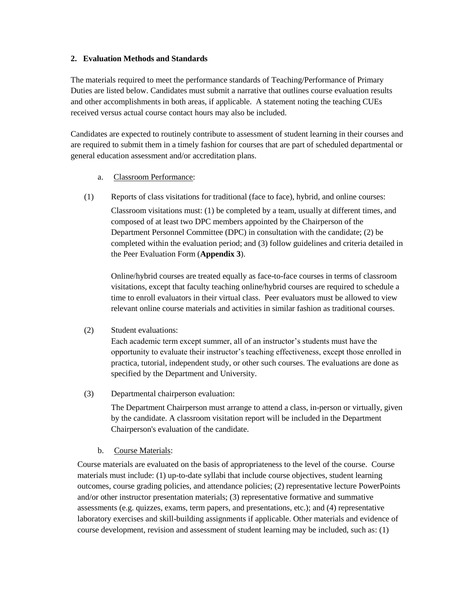#### **2. Evaluation Methods and Standards**

The materials required to meet the performance standards of Teaching/Performance of Primary Duties are listed below. Candidates must submit a narrative that outlines course evaluation results and other accomplishments in both areas, if applicable. A statement noting the teaching CUEs received versus actual course contact hours may also be included.

Candidates are expected to routinely contribute to assessment of student learning in their courses and are required to submit them in a timely fashion for courses that are part of scheduled departmental or general education assessment and/or accreditation plans.

#### a. Classroom Performance:

(1) Reports of class visitations for traditional (face to face), hybrid, and online courses:

Classroom visitations must: (1) be completed by a team, usually at different times, and composed of at least two DPC members appointed by the Chairperson of the Department Personnel Committee (DPC) in consultation with the candidate; (2) be completed within the evaluation period; and (3) follow guidelines and criteria detailed in the Peer Evaluation Form (**Appendix 3**).

Online/hybrid courses are treated equally as face-to-face courses in terms of classroom visitations, except that faculty teaching online/hybrid courses are required to schedule a time to enroll evaluators in their virtual class. Peer evaluators must be allowed to view relevant online course materials and activities in similar fashion as traditional courses.

#### (2) Student evaluations:

Each academic term except summer, all of an instructor's students must have the opportunity to evaluate their instructor's teaching effectiveness, except those enrolled in practica, tutorial, independent study, or other such courses. The evaluations are done as specified by the Department and University.

(3) Departmental chairperson evaluation:

The Department Chairperson must arrange to attend a class, in-person or virtually, given by the candidate. A classroom visitation report will be included in the Department Chairperson's evaluation of the candidate.

b. Course Materials:

Course materials are evaluated on the basis of appropriateness to the level of the course. Course materials must include: (1) up-to-date syllabi that include course objectives, student learning outcomes, course grading policies, and attendance policies; (2) representative lecture PowerPoints and/or other instructor presentation materials; (3) representative formative and summative assessments (e.g. quizzes, exams, term papers, and presentations, etc.); and (4) representative laboratory exercises and skill-building assignments if applicable. Other materials and evidence of course development, revision and assessment of student learning may be included, such as: (1)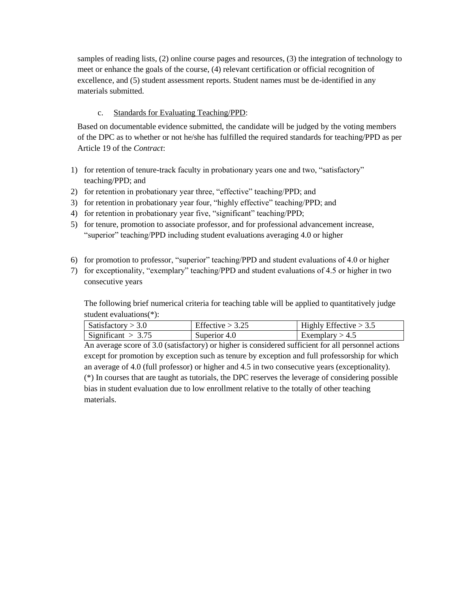samples of reading lists, (2) online course pages and resources, (3) the integration of technology to meet or enhance the goals of the course, (4) relevant certification or official recognition of excellence, and (5) student assessment reports. Student names must be de-identified in any materials submitted.

# c. Standards for Evaluating Teaching/PPD:

Based on documentable evidence submitted, the candidate will be judged by the voting members of the DPC as to whether or not he/she has fulfilled the required standards for teaching/PPD as per Article 19 of the *Contract*:

- 1) for retention of tenure-track faculty in probationary years one and two, "satisfactory" teaching/PPD; and
- 2) for retention in probationary year three, "effective" teaching/PPD; and
- 3) for retention in probationary year four, "highly effective" teaching/PPD; and
- 4) for retention in probationary year five, "significant" teaching/PPD;
- 5) for tenure, promotion to associate professor, and for professional advancement increase, "superior" teaching/PPD including student evaluations averaging 4.0 or higher
- 6) for promotion to professor, "superior" teaching/PPD and student evaluations of 4.0 or higher
- 7) for exceptionality, "exemplary" teaching/PPD and student evaluations of 4.5 or higher in two consecutive years

The following brief numerical criteria for teaching table will be applied to quantitatively judge student evaluations(\*):

| Satisfactory $>$ 3.0 | Effective $> 3.25$ | $\vert$ Highly Effective $> 3.5$ |
|----------------------|--------------------|----------------------------------|
| Significant $> 3.75$ | Superior 4.0       | Exemplary $> 4.5$                |

An average score of 3.0 (satisfactory) or higher is considered sufficient for all personnel actions except for promotion by exception such as tenure by exception and full professorship for which an average of 4.0 (full professor) or higher and 4.5 in two consecutive years (exceptionality). (\*) In courses that are taught as tutorials, the DPC reserves the leverage of considering possible bias in student evaluation due to low enrollment relative to the totally of other teaching materials.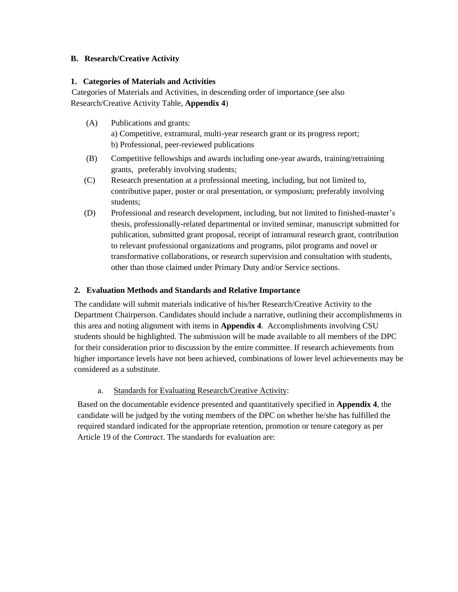### **B. Research/Creative Activity**

#### **1. Categories of Materials and Activities**

 Categories of Materials and Activities, in descending order of importance (see also Research/Creative Activity Table, **Appendix 4**)

(A) Publications and grants:

 a) Competitive, extramural, multi-year research grant or its progress report; b) Professional, peer-reviewed publications

- (B) Competitive fellowships and awards including one-year awards, training/retraining grants, preferably involving students;
- (C) Research presentation at a professional meeting, including, but not limited to, contributive paper, poster or oral presentation, or symposium; preferably involving students;
- (D) Professional and research development, including, but not limited to finished-master's thesis, professionally-related departmental or invited seminar, manuscript submitted for publication, submitted grant proposal, receipt of intramural research grant, contribution to relevant professional organizations and programs, pilot programs and novel or transformative collaborations, or research supervision and consultation with students, other than those claimed under Primary Duty and/or Service sections.

### **2. Evaluation Methods and Standards and Relative Importance**

The candidate will submit materials indicative of his/her Research/Creative Activity to the Department Chairperson. Candidates should include a narrative, outlining their accomplishments in this area and noting alignment with items in **Appendix 4**. Accomplishments involving CSU students should be highlighted. The submission will be made available to all members of the DPC for their consideration prior to discussion by the entire committee. If research achievements from higher importance levels have not been achieved, combinations of lower level achievements may be considered as a substitute.

### a. Standards for Evaluating Research/Creative Activity:

Based on the documentable evidence presented and quantitatively specified in **Appendix 4**, the candidate will be judged by the voting members of the DPC on whether he/she has fulfilled the required standard indicated for the appropriate retention, promotion or tenure category as per Article 19 of the *Contract*. The standards for evaluation are: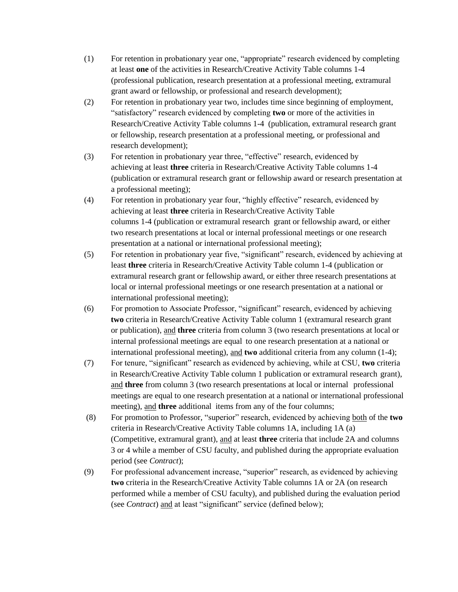- (1) For retention in probationary year one, "appropriate" research evidenced by completing at least **one** of the activities in Research/Creative Activity Table columns 1-4 (professional publication, research presentation at a professional meeting, extramural grant award or fellowship, or professional and research development);
- (2) For retention in probationary year two, includes time since beginning of employment, "satisfactory" research evidenced by completing **two** or more of the activities in Research/Creative Activity Table columns 1-4 (publication, extramural research grant or fellowship, research presentation at a professional meeting, or professional and research development);
- (3) For retention in probationary year three, "effective" research, evidenced by achieving at least **three** criteria in Research/Creative Activity Table columns 1-4 (publication or extramural research grant or fellowship award or research presentation at a professional meeting);
- (4) For retention in probationary year four, "highly effective" research, evidenced by achieving at least **three** criteria in Research/Creative Activity Table columns 1-4 (publication or extramural research grant or fellowship award, or either two research presentations at local or internal professional meetings or one research presentation at a national or international professional meeting);
- (5) For retention in probationary year five, "significant" research, evidenced by achieving at least **three** criteria in Research/Creative Activity Table column 1-4 (publication or extramural research grant or fellowship award, or either three research presentations at local or internal professional meetings or one research presentation at a national or international professional meeting);
- (6) For promotion to Associate Professor, "significant" research, evidenced by achieving **two** criteria in Research/Creative Activity Table column 1 (extramural research grant or publication), and **three** criteria from column 3 (two research presentations at local or internal professional meetings are equal to one research presentation at a national or international professional meeting), and **two** additional criteria from any column (1-4);
- (7) For tenure, "significant" research as evidenced by achieving, while at CSU, **two** criteria in Research/Creative Activity Table column 1 publication or extramural research grant), and **three** from column 3 (two research presentations at local or internal professional meetings are equal to one research presentation at a national or international professional meeting), and **three** additional items from any of the four columns;
- (8) For promotion to Professor, "superior" research, evidenced by achieving both of the **two** criteria in Research/Creative Activity Table columns 1A, including 1A (a) (Competitive, extramural grant), and at least **three** criteria that include 2A and columns 3 or 4 while a member of CSU faculty, and published during the appropriate evaluation period (see *Contract*);
- (9) For professional advancement increase, "superior" research, as evidenced by achieving **two** criteria in the Research/Creative Activity Table columns 1A or 2A (on research performed while a member of CSU faculty), and published during the evaluation period (see *Contract*) and at least "significant" service (defined below);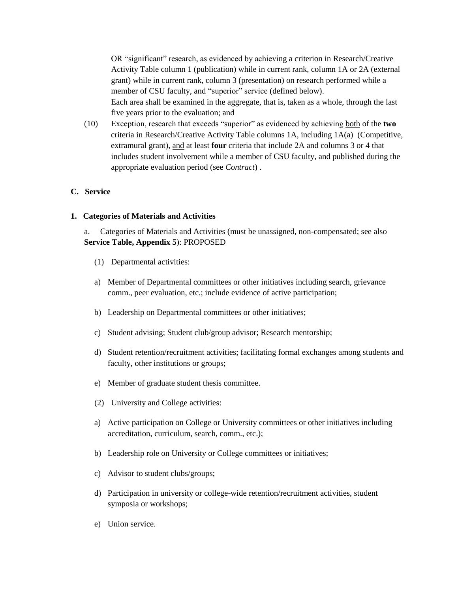OR "significant" research, as evidenced by achieving a criterion in Research/Creative Activity Table column 1 (publication) while in current rank, column 1A or 2A (external grant) while in current rank, column 3 (presentation) on research performed while a member of CSU faculty, and "superior" service (defined below). Each area shall be examined in the aggregate, that is, taken as a whole, through the last five years prior to the evaluation; and

(10) Exception, research that exceeds "superior" as evidenced by achieving both of the **two** criteria in Research/Creative Activity Table columns 1A, including 1A(a) (Competitive, extramural grant), and at least **four** criteria that include 2A and columns 3 or 4 that includes student involvement while a member of CSU faculty, and published during the appropriate evaluation period (see *Contract*) .

#### **C. Service**

#### **1. Categories of Materials and Activities**

### a. Categories of Materials and Activities (must be unassigned, non-compensated; see also **Service Table, Appendix 5**): PROPOSED

- (1) Departmental activities:
- a) Member of Departmental committees or other initiatives including search, grievance comm., peer evaluation, etc.; include evidence of active participation;
- b) Leadership on Departmental committees or other initiatives;
- c) Student advising; Student club/group advisor; Research mentorship;
- d) Student retention/recruitment activities; facilitating formal exchanges among students and faculty, other institutions or groups;
- e) Member of graduate student thesis committee.
- (2) University and College activities:
- a) Active participation on College or University committees or other initiatives including accreditation, curriculum, search, comm., etc.);
- b) Leadership role on University or College committees or initiatives;
- c) Advisor to student clubs/groups;
- d) Participation in university or college-wide retention/recruitment activities, student symposia or workshops;
- e) Union service.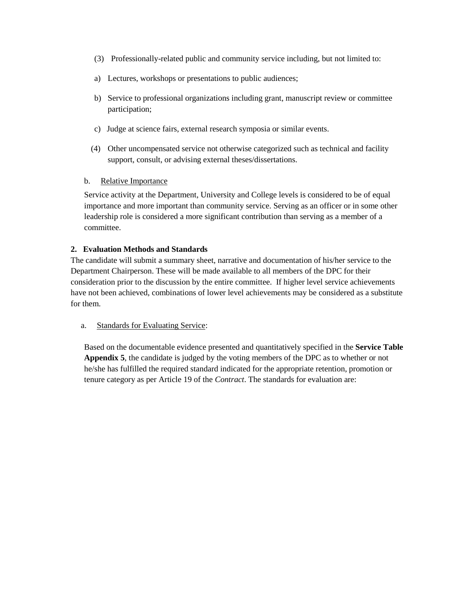- (3) Professionally-related public and community service including, but not limited to:
- a) Lectures, workshops or presentations to public audiences;
- b) Service to professional organizations including grant, manuscript review or committee participation;
- c) Judge at science fairs, external research symposia or similar events.
- (4) Other uncompensated service not otherwise categorized such as technical and facility support, consult, or advising external theses/dissertations.

### b. Relative Importance

Service activity at the Department, University and College levels is considered to be of equal importance and more important than community service. Serving as an officer or in some other leadership role is considered a more significant contribution than serving as a member of a committee.

### **2. Evaluation Methods and Standards**

The candidate will submit a summary sheet, narrative and documentation of his/her service to the Department Chairperson. These will be made available to all members of the DPC for their consideration prior to the discussion by the entire committee. If higher level service achievements have not been achieved, combinations of lower level achievements may be considered as a substitute for them.

### a. Standards for Evaluating Service:

Based on the documentable evidence presented and quantitatively specified in the **Service Table Appendix 5**, the candidate is judged by the voting members of the DPC as to whether or not he/she has fulfilled the required standard indicated for the appropriate retention, promotion or tenure category as per Article 19 of the *Contract*. The standards for evaluation are: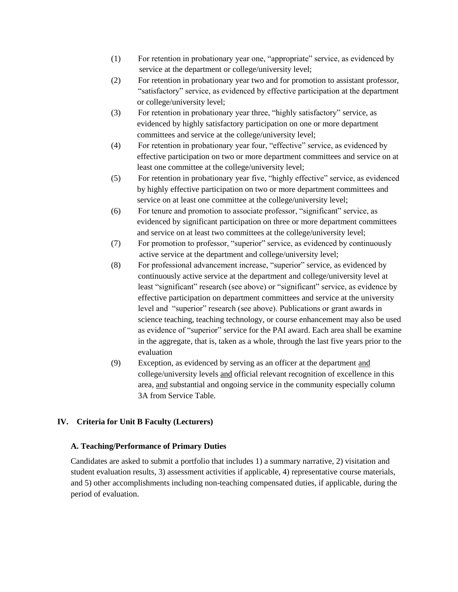- (1) For retention in probationary year one, "appropriate" service, as evidenced by service at the department or college/university level;
- (2) For retention in probationary year two and for promotion to assistant professor, "satisfactory" service, as evidenced by effective participation at the department or college/university level;
- (3) For retention in probationary year three, "highly satisfactory" service, as evidenced by highly satisfactory participation on one or more department committees and service at the college/university level;
- (4) For retention in probationary year four, "effective" service, as evidenced by effective participation on two or more department committees and service on at least one committee at the college/university level;
- (5) For retention in probationary year five, "highly effective" service, as evidenced by highly effective participation on two or more department committees and service on at least one committee at the college/university level;
- (6) For tenure and promotion to associate professor, "significant" service, as evidenced by significant participation on three or more department committees and service on at least two committees at the college/university level;
- (7) For promotion to professor, "superior" service, as evidenced by continuously active service at the department and college/university level;
- (8) For professional advancement increase, "superior" service, as evidenced by continuously active service at the department and college/university level at least "significant" research (see above) or "significant" service, as evidence by effective participation on department committees and service at the university level and "superior" research (see above). Publications or grant awards in science teaching, teaching technology, or course enhancement may also be used as evidence of "superior" service for the PAI award. Each area shall be examine in the aggregate, that is, taken as a whole, through the last five years prior to the evaluation
- (9) Exception, as evidenced by serving as an officer at the department and college/university levels and official relevant recognition of excellence in this area, and substantial and ongoing service in the community especially column 3A from Service Table.

# **IV. Criteria for Unit B Faculty (Lecturers)**

### **A. Teaching/Performance of Primary Duties**

Candidates are asked to submit a portfolio that includes 1) a summary narrative, 2) visitation and student evaluation results, 3) assessment activities if applicable, 4) representative course materials, and 5) other accomplishments including non-teaching compensated duties, if applicable, during the period of evaluation.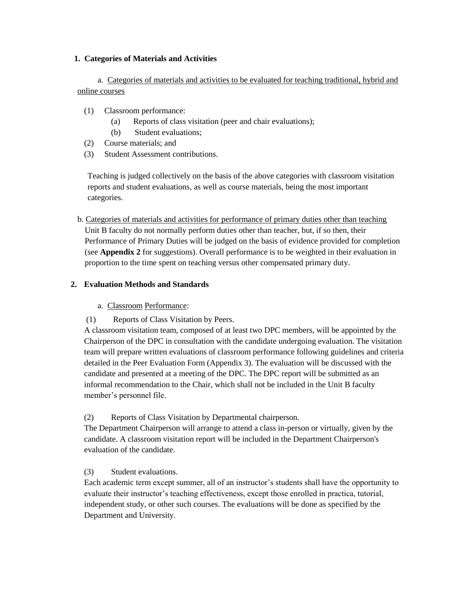#### **1. Categories of Materials and Activities**

# a. Categories of materials and activities to be evaluated for teaching traditional, hybrid and online courses

- (1) Classroom performance:
	- (a) Reports of class visitation (peer and chair evaluations);
	- (b) Student evaluations;
- (2) Course materials; and
- (3) Student Assessment contributions.

Teaching is judged collectively on the basis of the above categories with classroom visitation reports and student evaluations, as well as course materials, being the most important categories.

b. Categories of materials and activities for performance of primary duties other than teaching Unit B faculty do not normally perform duties other than teacher, but, if so then, their Performance of Primary Duties will be judged on the basis of evidence provided for completion (see **Appendix 2** for suggestions). Overall performance is to be weighted in their evaluation in proportion to the time spent on teaching versus other compensated primary duty.

# **2. Evaluation Methods and Standards**

### a. Classroom Performance:

(1) Reports of Class Visitation by Peers.

A classroom visitation team, composed of at least two DPC members, will be appointed by the Chairperson of the DPC in consultation with the candidate undergoing evaluation. The visitation team will prepare written evaluations of classroom performance following guidelines and criteria detailed in the Peer Evaluation Form (Appendix 3). The evaluation will be discussed with the candidate and presented at a meeting of the DPC. The DPC report will be submitted as an informal recommendation to the Chair, which shall not be included in the Unit B faculty member's personnel file.

### (2) Reports of Class Visitation by Departmental chairperson.

The Department Chairperson will arrange to attend a class in-person or virtually, given by the candidate. A classroom visitation report will be included in the Department Chairperson's evaluation of the candidate.

### (3) Student evaluations.

Each academic term except summer, all of an instructor's students shall have the opportunity to evaluate their instructor's teaching effectiveness, except those enrolled in practica, tutorial, independent study, or other such courses. The evaluations will be done as specified by the Department and University.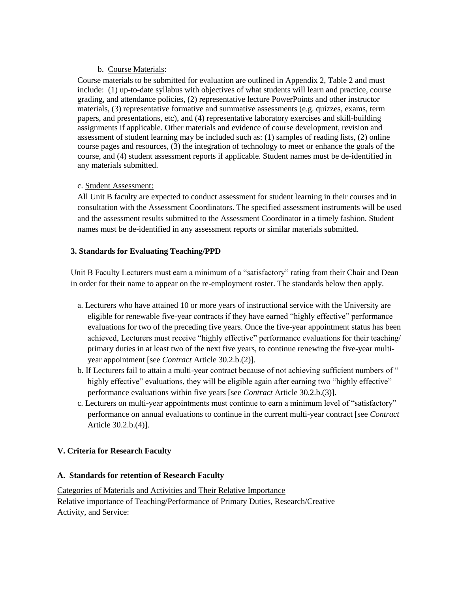### b. Course Materials:

Course materials to be submitted for evaluation are outlined in Appendix 2, Table 2 and must include: (1) up-to-date syllabus with objectives of what students will learn and practice, course grading, and attendance policies, (2) representative lecture PowerPoints and other instructor materials, (3) representative formative and summative assessments (e.g. quizzes, exams, term papers, and presentations, etc), and (4) representative laboratory exercises and skill-building assignments if applicable. Other materials and evidence of course development, revision and assessment of student learning may be included such as: (1) samples of reading lists, (2) online course pages and resources, (3) the integration of technology to meet or enhance the goals of the course, and (4) student assessment reports if applicable. Student names must be de-identified in any materials submitted.

### c. Student Assessment:

All Unit B faculty are expected to conduct assessment for student learning in their courses and in consultation with the Assessment Coordinators. The specified assessment instruments will be used and the assessment results submitted to the Assessment Coordinator in a timely fashion. Student names must be de-identified in any assessment reports or similar materials submitted.

### **3. Standards for Evaluating Teaching/PPD**

Unit B Faculty Lecturers must earn a minimum of a "satisfactory" rating from their Chair and Dean in order for their name to appear on the re-employment roster. The standards below then apply.

- a. Lecturers who have attained 10 or more years of instructional service with the University are eligible for renewable five-year contracts if they have earned "highly effective" performance evaluations for two of the preceding five years. Once the five-year appointment status has been achieved, Lecturers must receive "highly effective" performance evaluations for their teaching/ primary duties in at least two of the next five years, to continue renewing the five-year multiyear appointment [see *Contract* Article 30.2.b.(2)].
- b. If Lecturers fail to attain a multi-year contract because of not achieving sufficient numbers of " highly effective" evaluations, they will be eligible again after earning two "highly effective" performance evaluations within five years [see *Contract* Article 30.2.b.(3)].
- c. Lecturers on multi-year appointments must continue to earn a minimum level of "satisfactory" performance on annual evaluations to continue in the current multi-year contract [see *Contract* Article 30.2.b.(4)].

### **V. Criteria for Research Faculty**

#### **A. Standards for retention of Research Faculty**

Categories of Materials and Activities and Their Relative Importance Relative importance of Teaching/Performance of Primary Duties, Research/Creative Activity, and Service: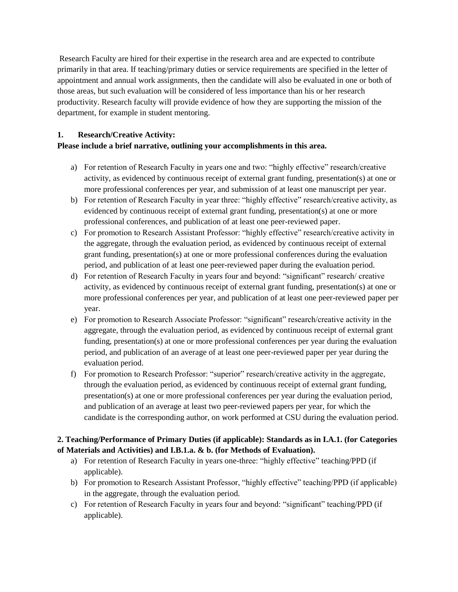Research Faculty are hired for their expertise in the research area and are expected to contribute primarily in that area. If teaching/primary duties or service requirements are specified in the letter of appointment and annual work assignments, then the candidate will also be evaluated in one or both of those areas, but such evaluation will be considered of less importance than his or her research productivity. Research faculty will provide evidence of how they are supporting the mission of the department, for example in student mentoring.

### **1. Research/Creative Activity:**

# **Please include a brief narrative, outlining your accomplishments in this area.**

- a) For retention of Research Faculty in years one and two: "highly effective" research/creative activity, as evidenced by continuous receipt of external grant funding, presentation(s) at one or more professional conferences per year, and submission of at least one manuscript per year.
- b) For retention of Research Faculty in year three: "highly effective" research/creative activity, as evidenced by continuous receipt of external grant funding, presentation(s) at one or more professional conferences, and publication of at least one peer-reviewed paper.
- c) For promotion to Research Assistant Professor: "highly effective" research/creative activity in the aggregate, through the evaluation period, as evidenced by continuous receipt of external grant funding, presentation(s) at one or more professional conferences during the evaluation period, and publication of at least one peer-reviewed paper during the evaluation period.
- d) For retention of Research Faculty in years four and beyond: "significant" research/ creative activity, as evidenced by continuous receipt of external grant funding, presentation(s) at one or more professional conferences per year, and publication of at least one peer-reviewed paper per year.
- e) For promotion to Research Associate Professor: "significant" research/creative activity in the aggregate, through the evaluation period, as evidenced by continuous receipt of external grant funding, presentation(s) at one or more professional conferences per year during the evaluation period, and publication of an average of at least one peer-reviewed paper per year during the evaluation period.
- f) For promotion to Research Professor: "superior" research/creative activity in the aggregate, through the evaluation period, as evidenced by continuous receipt of external grant funding, presentation(s) at one or more professional conferences per year during the evaluation period, and publication of an average at least two peer-reviewed papers per year, for which the candidate is the corresponding author, on work performed at CSU during the evaluation period.

# **2. Teaching/Performance of Primary Duties (if applicable): Standards as in I.A.1. (for Categories of Materials and Activities) and I.B.1.a. & b. (for Methods of Evaluation).**

- a) For retention of Research Faculty in years one-three: "highly effective" teaching/PPD (if applicable).
- b) For promotion to Research Assistant Professor, "highly effective" teaching/PPD (if applicable) in the aggregate, through the evaluation period.
- c) For retention of Research Faculty in years four and beyond: "significant" teaching/PPD (if applicable).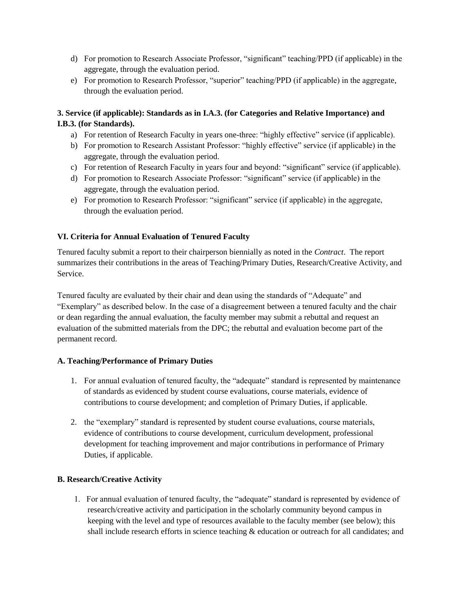- d) For promotion to Research Associate Professor, "significant" teaching/PPD (if applicable) in the aggregate, through the evaluation period.
- e) For promotion to Research Professor, "superior" teaching/PPD (if applicable) in the aggregate, through the evaluation period.

# **3. Service (if applicable): Standards as in I.A.3. (for Categories and Relative Importance) and I.B.3. (for Standards).**

- a) For retention of Research Faculty in years one-three: "highly effective" service (if applicable).
- b) For promotion to Research Assistant Professor: "highly effective" service (if applicable) in the aggregate, through the evaluation period.
- c) For retention of Research Faculty in years four and beyond: "significant" service (if applicable).
- d) For promotion to Research Associate Professor: "significant" service (if applicable) in the aggregate, through the evaluation period.
- e) For promotion to Research Professor: "significant" service (if applicable) in the aggregate, through the evaluation period.

# **VI. Criteria for Annual Evaluation of Tenured Faculty**

Tenured faculty submit a report to their chairperson biennially as noted in the *Contract*. The report summarizes their contributions in the areas of Teaching/Primary Duties, Research/Creative Activity, and Service.

Tenured faculty are evaluated by their chair and dean using the standards of "Adequate" and "Exemplary" as described below. In the case of a disagreement between a tenured faculty and the chair or dean regarding the annual evaluation, the faculty member may submit a rebuttal and request an evaluation of the submitted materials from the DPC; the rebuttal and evaluation become part of the permanent record.

# **A. Teaching/Performance of Primary Duties**

- 1. For annual evaluation of tenured faculty, the "adequate" standard is represented by maintenance of standards as evidenced by student course evaluations, course materials, evidence of contributions to course development; and completion of Primary Duties, if applicable.
- 2. the "exemplary" standard is represented by student course evaluations, course materials, evidence of contributions to course development, curriculum development, professional development for teaching improvement and major contributions in performance of Primary Duties, if applicable.

# **B. Research/Creative Activity**

1. For annual evaluation of tenured faculty, the "adequate" standard is represented by evidence of research/creative activity and participation in the scholarly community beyond campus in keeping with the level and type of resources available to the faculty member (see below); this shall include research efforts in science teaching & education or outreach for all candidates; and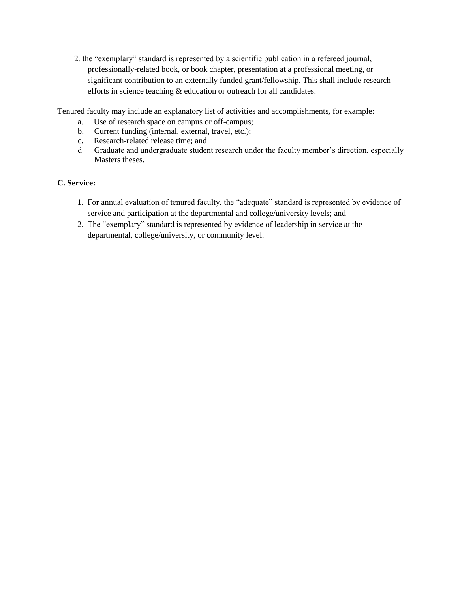2. the "exemplary" standard is represented by a scientific publication in a refereed journal, professionally-related book, or book chapter, presentation at a professional meeting, or significant contribution to an externally funded grant/fellowship. This shall include research efforts in science teaching & education or outreach for all candidates.

Tenured faculty may include an explanatory list of activities and accomplishments, for example:

- a. Use of research space on campus or off-campus;
- b. Current funding (internal, external, travel, etc.);
- c. Research-related release time; and
- d Graduate and undergraduate student research under the faculty member's direction, especially Masters theses.

# **C. Service:**

- 1. For annual evaluation of tenured faculty, the "adequate" standard is represented by evidence of service and participation at the departmental and college/university levels; and
- 2. The "exemplary" standard is represented by evidence of leadership in service at the departmental, college/university, or community level.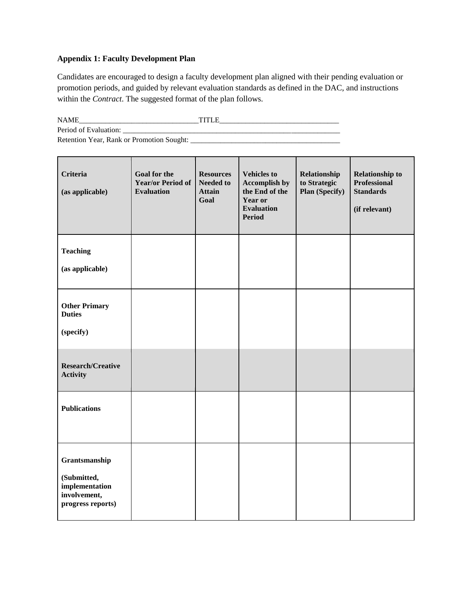# **Appendix 1: Faculty Development Plan**

Candidates are encouraged to design a faculty development plan aligned with their pending evaluation or promotion periods, and guided by relevant evaluation standards as defined in the DAC, and instructions within the *Contract*. The suggested format of the plan follows.

| <b>NAME</b>                               | TITI E |
|-------------------------------------------|--------|
| Period of Evaluation:                     |        |
| Retention Year, Rank or Promotion Sought: |        |

| <b>Criteria</b><br>(as applicable)                                                  | <b>Goal for the</b><br><b>Year/or Period of</b><br><b>Evaluation</b> | <b>Resources</b><br><b>Needed to</b><br><b>Attain</b><br>Goal | <b>Vehicles to</b><br><b>Accomplish by</b><br>the End of the<br>Year or<br><b>Evaluation</b><br><b>Period</b> | Relationship<br>to Strategic<br><b>Plan (Specify)</b> | <b>Relationship to</b><br><b>Professional</b><br><b>Standards</b><br>(if relevant) |
|-------------------------------------------------------------------------------------|----------------------------------------------------------------------|---------------------------------------------------------------|---------------------------------------------------------------------------------------------------------------|-------------------------------------------------------|------------------------------------------------------------------------------------|
| <b>Teaching</b><br>(as applicable)                                                  |                                                                      |                                                               |                                                                                                               |                                                       |                                                                                    |
| <b>Other Primary</b><br><b>Duties</b><br>(specify)                                  |                                                                      |                                                               |                                                                                                               |                                                       |                                                                                    |
| <b>Research/Creative</b><br><b>Activity</b>                                         |                                                                      |                                                               |                                                                                                               |                                                       |                                                                                    |
| <b>Publications</b>                                                                 |                                                                      |                                                               |                                                                                                               |                                                       |                                                                                    |
| Grantsmanship<br>(Submitted,<br>implementation<br>involvement,<br>progress reports) |                                                                      |                                                               |                                                                                                               |                                                       |                                                                                    |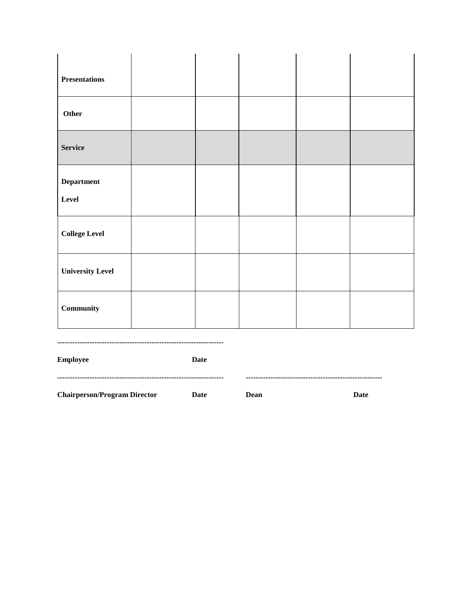| <b>Presentations</b>       |  |  |  |
|----------------------------|--|--|--|
| Other                      |  |  |  |
| <b>Service</b>             |  |  |  |
| <b>Department</b><br>Level |  |  |  |
| <b>College Level</b>       |  |  |  |
| <b>University Level</b>    |  |  |  |
| Community                  |  |  |  |

**-------------------------------------------------------------------** 

**Employee Date ------------------------------------------------------------------- ------------------------------------------------------- Chairperson/Program Director Date Dean Date**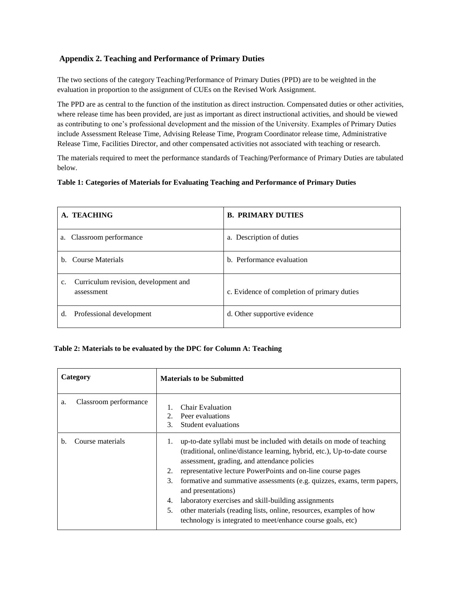### **Appendix 2. Teaching and Performance of Primary Duties**

The two sections of the category Teaching/Performance of Primary Duties (PPD) are to be weighted in the evaluation in proportion to the assignment of CUEs on the Revised Work Assignment.

The PPD are as central to the function of the institution as direct instruction. Compensated duties or other activities, where release time has been provided, are just as important as direct instructional activities, and should be viewed as contributing to one's professional development and the mission of the University. Examples of Primary Duties include Assessment Release Time, Advising Release Time, Program Coordinator release time, Administrative Release Time, Facilities Director, and other compensated activities not associated with teaching or research.

The materials required to meet the performance standards of Teaching/Performance of Primary Duties are tabulated below.

#### **Table 1: Categories of Materials for Evaluating Teaching and Performance of Primary Duties**

| A. TEACHING                                                          | <b>B. PRIMARY DUTIES</b>                    |
|----------------------------------------------------------------------|---------------------------------------------|
| Classroom performance<br>a.                                          | a. Description of duties                    |
| Course Materials<br>h.                                               | b. Performance evaluation                   |
| Curriculum revision, development and<br>$\mathbf{c}$ .<br>assessment | c. Evidence of completion of primary duties |
| Professional development<br>d.                                       | d. Other supportive evidence                |

#### **Table 2: Materials to be evaluated by the DPC for Column A: Teaching**

| Category                    | <b>Materials to be Submitted</b>                                                                                                                                                                                                                                                                                                                                                                                                                                                                                                                                                          |
|-----------------------------|-------------------------------------------------------------------------------------------------------------------------------------------------------------------------------------------------------------------------------------------------------------------------------------------------------------------------------------------------------------------------------------------------------------------------------------------------------------------------------------------------------------------------------------------------------------------------------------------|
| Classroom performance<br>a. | Chair Evaluation<br>Peer evaluations<br>$\mathfrak{D}_{\cdot}$<br>$\mathcal{F}_{\mathcal{L}}$<br>Student evaluations                                                                                                                                                                                                                                                                                                                                                                                                                                                                      |
| Course materials<br>b.      | up-to-date syllabi must be included with details on mode of teaching<br>1.<br>(traditional, online/distance learning, hybrid, etc.), Up-to-date course<br>assessment, grading, and attendance policies<br>2.<br>representative lecture PowerPoints and on-line course pages<br>3.<br>formative and summative assessments (e.g. quizzes, exams, term papers,<br>and presentations)<br>laboratory exercises and skill-building assignments<br>4.<br>5.<br>other materials (reading lists, online, resources, examples of how<br>technology is integrated to meet/enhance course goals, etc) |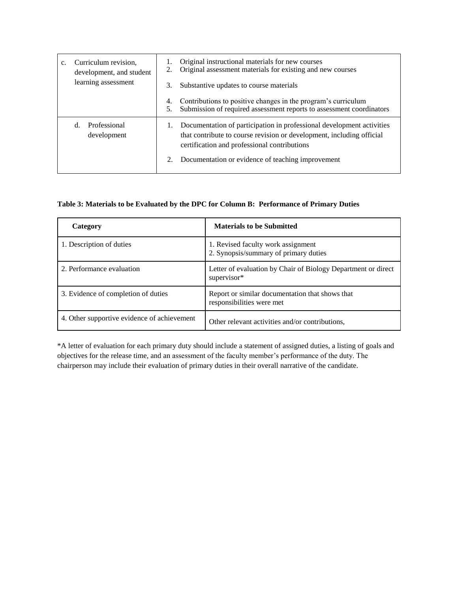| Curriculum revision,<br>development, and student<br>learning assessment | Original instructional materials for new courses<br>Original assessment materials for existing and new courses<br>Substantive updates to course materials<br>Contributions to positive changes in the program's curriculum<br>Submission of required assessment reports to assessment coordinators |  |
|-------------------------------------------------------------------------|----------------------------------------------------------------------------------------------------------------------------------------------------------------------------------------------------------------------------------------------------------------------------------------------------|--|
| Professional<br>d.<br>development                                       | Documentation of participation in professional development activities<br>that contribute to course revision or development, including official<br>certification and professional contributions<br>Documentation or evidence of teaching improvement                                                |  |

#### **Table 3: Materials to be Evaluated by the DPC for Column B: Performance of Primary Duties**

| Category                                    | <b>Materials to be Submitted</b>                                             |
|---------------------------------------------|------------------------------------------------------------------------------|
| 1. Description of duties                    | 1. Revised faculty work assignment<br>2. Synopsis/summary of primary duties  |
| 2. Performance evaluation                   | Letter of evaluation by Chair of Biology Department or direct<br>supervisor* |
| 3. Evidence of completion of duties         | Report or similar documentation that shows that<br>responsibilities were met |
| 4. Other supportive evidence of achievement | Other relevant activities and/or contributions,                              |

\*A letter of evaluation for each primary duty should include a statement of assigned duties, a listing of goals and objectives for the release time, and an assessment of the faculty member's performance of the duty. The chairperson may include their evaluation of primary duties in their overall narrative of the candidate.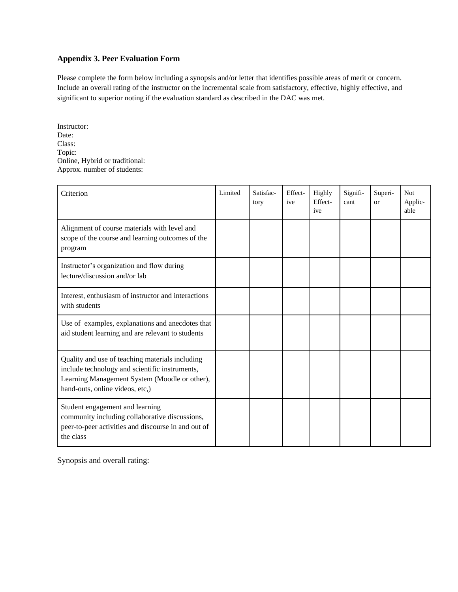#### **Appendix 3. Peer Evaluation Form**

Please complete the form below including a synopsis and/or letter that identifies possible areas of merit or concern. Include an overall rating of the instructor on the incremental scale from satisfactory, effective, highly effective, and significant to superior noting if the evaluation standard as described in the DAC was met.

Instructor: Date: Class: Topic: Online, Hybrid or traditional: Approx. number of students:

| Criterion                                                                                                                                                                             | Limited | Satisfac-<br>tory | Effect-<br>ive | Highly<br>Effect-<br>ive | Signifi-<br>cant | Superi-<br><b>or</b> | <b>Not</b><br>Applic-<br>able |
|---------------------------------------------------------------------------------------------------------------------------------------------------------------------------------------|---------|-------------------|----------------|--------------------------|------------------|----------------------|-------------------------------|
| Alignment of course materials with level and<br>scope of the course and learning outcomes of the<br>program                                                                           |         |                   |                |                          |                  |                      |                               |
| Instructor's organization and flow during<br>lecture/discussion and/or lab                                                                                                            |         |                   |                |                          |                  |                      |                               |
| Interest, enthusiasm of instructor and interactions<br>with students                                                                                                                  |         |                   |                |                          |                  |                      |                               |
| Use of examples, explanations and anecdotes that<br>aid student learning and are relevant to students                                                                                 |         |                   |                |                          |                  |                      |                               |
| Quality and use of teaching materials including<br>include technology and scientific instruments,<br>Learning Management System (Moodle or other),<br>hand-outs, online videos, etc,) |         |                   |                |                          |                  |                      |                               |
| Student engagement and learning<br>community including collaborative discussions,<br>peer-to-peer activities and discourse in and out of<br>the class                                 |         |                   |                |                          |                  |                      |                               |

Synopsis and overall rating: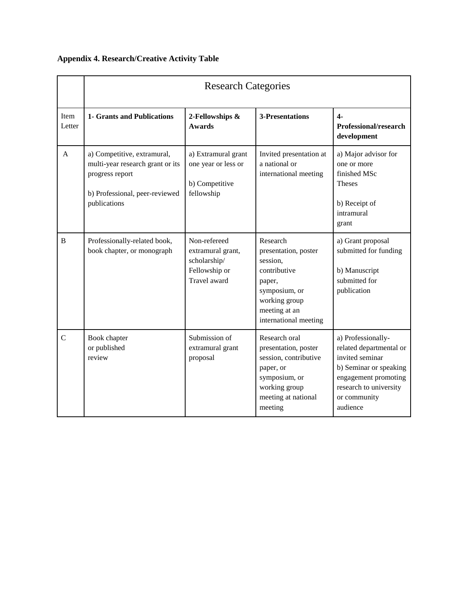|                | <b>Research Categories</b>                                                                                                           |                                                                                    |                                                                                                                                                    |                                                                                                                                                                          |  |
|----------------|--------------------------------------------------------------------------------------------------------------------------------------|------------------------------------------------------------------------------------|----------------------------------------------------------------------------------------------------------------------------------------------------|--------------------------------------------------------------------------------------------------------------------------------------------------------------------------|--|
| Item<br>Letter | <b>1- Grants and Publications</b>                                                                                                    | 2-Fellowships &<br><b>Awards</b>                                                   | <b>3-Presentations</b>                                                                                                                             | $4-$<br>Professional/research<br>development                                                                                                                             |  |
| A              | a) Competitive, extramural,<br>multi-year research grant or its<br>progress report<br>b) Professional, peer-reviewed<br>publications | a) Extramural grant<br>one year or less or<br>b) Competitive<br>fellowship         | Invited presentation at<br>a national or<br>international meeting                                                                                  | a) Major advisor for<br>one or more<br>finished MSc<br><b>Theses</b><br>b) Receipt of<br>intramural<br>grant                                                             |  |
| $\overline{B}$ | Professionally-related book,<br>book chapter, or monograph                                                                           | Non-refereed<br>extramural grant,<br>scholarship/<br>Fellowship or<br>Travel award | Research<br>presentation, poster<br>session,<br>contributive<br>paper,<br>symposium, or<br>working group<br>meeting at an<br>international meeting | a) Grant proposal<br>submitted for funding<br>b) Manuscript<br>submitted for<br>publication                                                                              |  |
| $\overline{C}$ | Book chapter<br>or published<br>review                                                                                               | Submission of<br>extramural grant<br>proposal                                      | Research oral<br>presentation, poster<br>session, contributive<br>paper, or<br>symposium, or<br>working group<br>meeting at national<br>meeting    | a) Professionally-<br>related departmental or<br>invited seminar<br>b) Seminar or speaking<br>engagement promoting<br>research to university<br>or community<br>audience |  |

# **Appendix 4. Research/Creative Activity Table**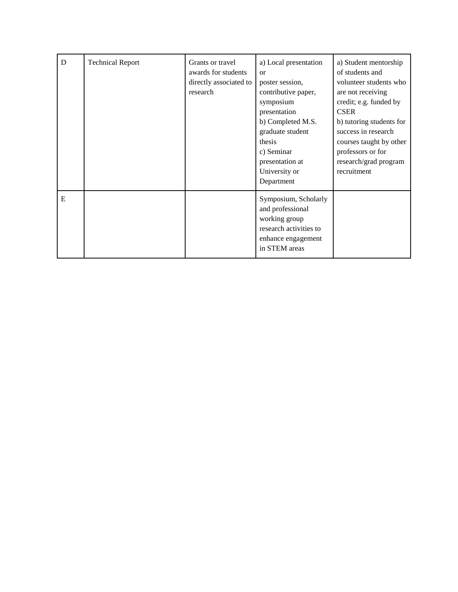| D | <b>Technical Report</b> | Grants or travel<br>awards for students<br>directly associated to<br>research | a) Local presentation<br>$\alpha$<br>poster session,<br>contributive paper,<br>symposium<br>presentation<br>b) Completed M.S.<br>graduate student<br>thesis<br>c) Seminar<br>presentation at<br>University or<br>Department | a) Student mentorship<br>of students and<br>volunteer students who<br>are not receiving<br>credit; e.g. funded by<br><b>CSER</b><br>b) tutoring students for<br>success in research<br>courses taught by other<br>professors or for<br>research/grad program<br>recruitment |
|---|-------------------------|-------------------------------------------------------------------------------|-----------------------------------------------------------------------------------------------------------------------------------------------------------------------------------------------------------------------------|-----------------------------------------------------------------------------------------------------------------------------------------------------------------------------------------------------------------------------------------------------------------------------|
| E |                         |                                                                               | Symposium, Scholarly<br>and professional<br>working group<br>research activities to<br>enhance engagement<br>in STEM areas                                                                                                  |                                                                                                                                                                                                                                                                             |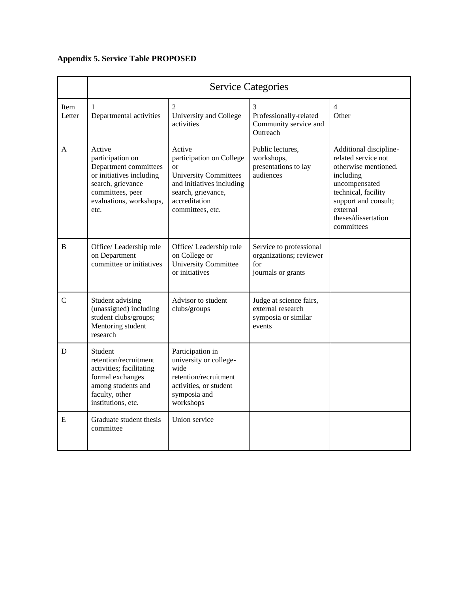# **Appendix 5. Service Table PROPOSED**

|                | <b>Service Categories</b>                                                                                                                                   |                                                                                                                                                                         |                                                                                 |                                                                                                                                                                                                     |  |
|----------------|-------------------------------------------------------------------------------------------------------------------------------------------------------------|-------------------------------------------------------------------------------------------------------------------------------------------------------------------------|---------------------------------------------------------------------------------|-----------------------------------------------------------------------------------------------------------------------------------------------------------------------------------------------------|--|
| Item<br>Letter | $\mathbf{1}$<br>Departmental activities                                                                                                                     | 2<br>University and College<br>activities                                                                                                                               | 3<br>Professionally-related<br>Community service and<br>Outreach                | $\overline{4}$<br>Other                                                                                                                                                                             |  |
| A              | Active<br>participation on<br>Department committees<br>or initiatives including<br>search, grievance<br>committees, peer<br>evaluations, workshops,<br>etc. | Active<br>participation on College<br><b>or</b><br><b>University Committees</b><br>and initiatives including<br>search, grievance,<br>accreditation<br>committees, etc. | Public lectures.<br>workshops,<br>presentations to lay<br>audiences             | Additional discipline-<br>related service not<br>otherwise mentioned.<br>including<br>uncompensated<br>technical, facility<br>support and consult;<br>external<br>theses/dissertation<br>committees |  |
| B              | Office/Leadership role<br>on Department<br>committee or initiatives                                                                                         | Office/Leadership role<br>on College or<br><b>University Committee</b><br>or initiatives                                                                                | Service to professional<br>organizations; reviewer<br>for<br>journals or grants |                                                                                                                                                                                                     |  |
| $\mathbf C$    | Student advising<br>(unassigned) including<br>student clubs/groups;<br>Mentoring student<br>research                                                        | Advisor to student<br>clubs/groups                                                                                                                                      | Judge at science fairs,<br>external research<br>symposia or similar<br>events   |                                                                                                                                                                                                     |  |
| D              | Student<br>retention/recruitment<br>activities; facilitating<br>formal exchanges<br>among students and<br>faculty, other<br>institutions, etc.              | Participation in<br>university or college-<br>wide<br>retention/recruitment<br>activities, or student<br>symposia and<br>workshops                                      |                                                                                 |                                                                                                                                                                                                     |  |
| E              | Graduate student thesis<br>committee                                                                                                                        | Union service                                                                                                                                                           |                                                                                 |                                                                                                                                                                                                     |  |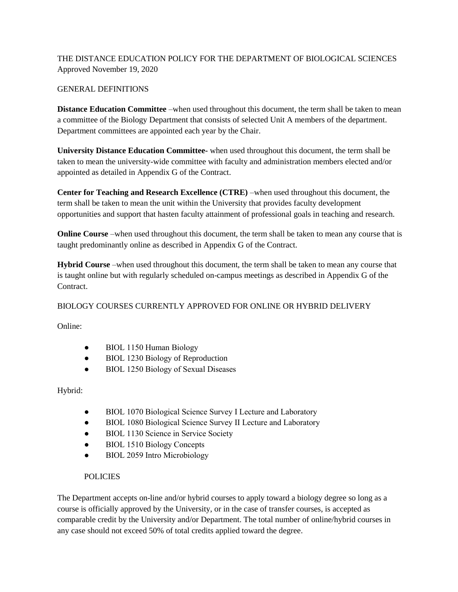# THE DISTANCE EDUCATION POLICY FOR THE DEPARTMENT OF BIOLOGICAL SCIENCES Approved November 19, 2020

### GENERAL DEFINITIONS

**Distance Education Committee** –when used throughout this document, the term shall be taken to mean a committee of the Biology Department that consists of selected Unit A members of the department. Department committees are appointed each year by the Chair.

**University Distance Education Committee-** when used throughout this document, the term shall be taken to mean the university-wide committee with faculty and administration members elected and/or appointed as detailed in Appendix G of the Contract.

**Center for Teaching and Research Excellence (CTRE)** –when used throughout this document, the term shall be taken to mean the unit within the University that provides faculty development opportunities and support that hasten faculty attainment of professional goals in teaching and research.

**Online Course** –when used throughout this document, the term shall be taken to mean any course that is taught predominantly online as described in Appendix G of the Contract.

**Hybrid Course** –when used throughout this document, the term shall be taken to mean any course that is taught online but with regularly scheduled on-campus meetings as described in Appendix G of the Contract.

### BIOLOGY COURSES CURRENTLY APPROVED FOR ONLINE OR HYBRID DELIVERY

Online:

- BIOL 1150 Human Biology
- BIOL 1230 Biology of Reproduction
- BIOL 1250 Biology of Sexual Diseases

Hybrid:

- BIOL 1070 Biological Science Survey I Lecture and Laboratory
- BIOL 1080 Biological Science Survey II Lecture and Laboratory
- BIOL 1130 Science in Service Society
- BIOL 1510 Biology Concepts
- BIOL 2059 Intro Microbiology

### POLICIES

The Department accepts on-line and/or hybrid courses to apply toward a biology degree so long as a course is officially approved by the University, or in the case of transfer courses, is accepted as comparable credit by the University and/or Department. The total number of online/hybrid courses in any case should not exceed 50% of total credits applied toward the degree.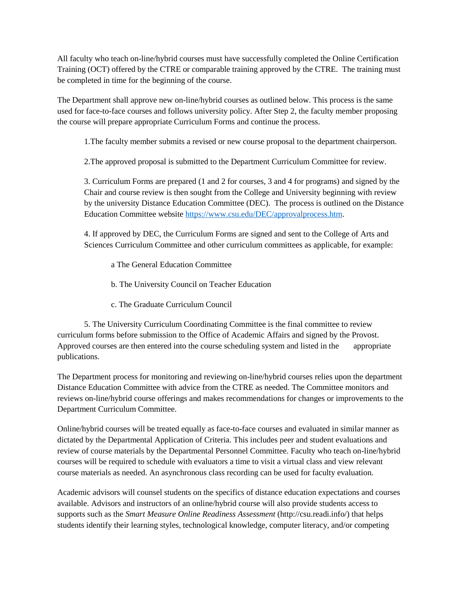All faculty who teach on-line/hybrid courses must have successfully completed the Online Certification Training (OCT) offered by the CTRE or comparable training approved by the CTRE. The training must be completed in time for the beginning of the course.

The Department shall approve new on-line/hybrid courses as outlined below. This process is the same used for face-to-face courses and follows university policy. After Step 2, the faculty member proposing the course will prepare appropriate Curriculum Forms and continue the process.

1.The faculty member submits a revised or new course proposal to the department chairperson.

2.The approved proposal is submitted to the Department Curriculum Committee for review.

3. Curriculum Forms are prepared (1 and 2 for courses, 3 and 4 for programs) and signed by the Chair and course review is then sought from the College and University beginning with review by the university Distance Education Committee (DEC). The process is outlined on the Distance Education Committee websit[e](https://www.csu.edu/DEC/approvalprocess.htm) [https://www.csu.edu/DEC/approvalprocess.htm.](https://www.csu.edu/DEC/approvalprocess.htm)

 4. If approved by DEC, the Curriculum Forms are signed and sent to the College of Arts and Sciences Curriculum Committee and other curriculum committees as applicable, for example:

a The General Education Committee

b. The University Council on Teacher Education

c. The Graduate Curriculum Council

 5. The University Curriculum Coordinating Committee is the final committee to review curriculum forms before submission to the Office of Academic Affairs and signed by the Provost. Approved courses are then entered into the course scheduling system and listed in the appropriate publications.

The Department process for monitoring and reviewing on-line/hybrid courses relies upon the department Distance Education Committee with advice from the CTRE as needed. The Committee monitors and reviews on-line/hybrid course offerings and makes recommendations for changes or improvements to the Department Curriculum Committee.

Online/hybrid courses will be treated equally as face-to-face courses and evaluated in similar manner as dictated by the Departmental Application of Criteria. This includes peer and student evaluations and review of course materials by the Departmental Personnel Committee. Faculty who teach on-line/hybrid courses will be required to schedule with evaluators a time to visit a virtual class and view relevant course materials as needed. An asynchronous class recording can be used for faculty evaluation.

Academic advisors will counsel students on the specifics of distance education expectations and courses available. Advisors and instructors of an online/hybrid course will also provide students access to supports such as the *Smart Measure Online Readiness Assessment* (http://csu.readi.info/) that helps students identify their learning styles, technological knowledge, computer literacy, and/or competing